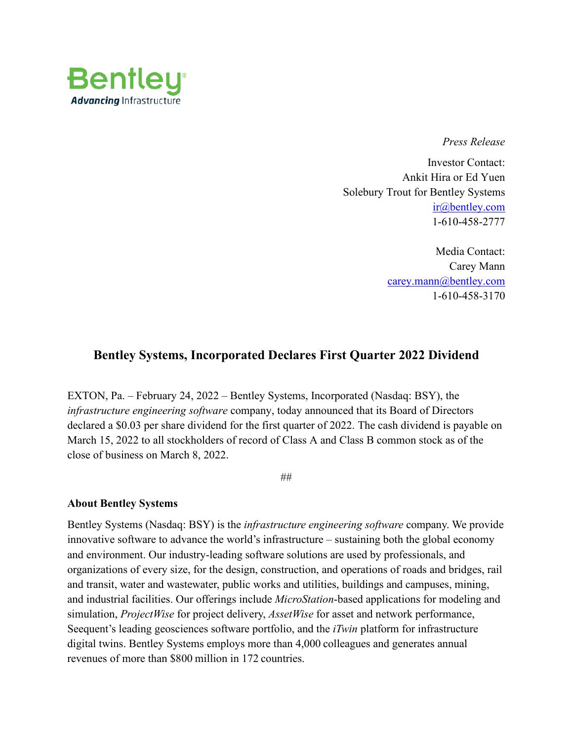

*Press Release*

Investor Contact: Ankit Hira or Ed Yuen Solebury Trout for Bentley Systems [ir@bentley.com](mailto:ir@bentley.com) 1-610-458-2777

> Media Contact: Carey Mann [carey.mann@bentley.com](mailto:carey.mann@bentley.com) 1-610-458-3170

## **Bentley Systems, Incorporated Declares First Quarter 2022 Dividend**

EXTON, Pa. – February 24, 2022 – Bentley Systems, Incorporated (Nasdaq: BSY), the *infrastructure engineering software* company, today announced that its Board of Directors declared a \$0.03 per share dividend for the first quarter of 2022. The cash dividend is payable on March 15, 2022 to all stockholders of record of Class A and Class B common stock as of the close of business on March 8, 2022.

##

## **About Bentley Systems**

Bentley Systems (Nasdaq: BSY) is the *infrastructure engineering software* company. We provide innovative software to advance the world's infrastructure – sustaining both the global economy and environment. Our industry-leading software solutions are used by professionals, and organizations of every size, for the design, construction, and operations of roads and bridges, rail and transit, water and wastewater, public works and utilities, buildings and campuses, mining, and industrial facilities. Our offerings include *MicroStation*-based applications for modeling and simulation, *ProjectWise* for project delivery, *AssetWise* for asset and network performance, Seequent's leading geosciences software portfolio, and the *iTwin* platform for infrastructure digital twins. Bentley Systems employs more than 4,000 colleagues and generates annual revenues of more than \$800 million in 172 countries.